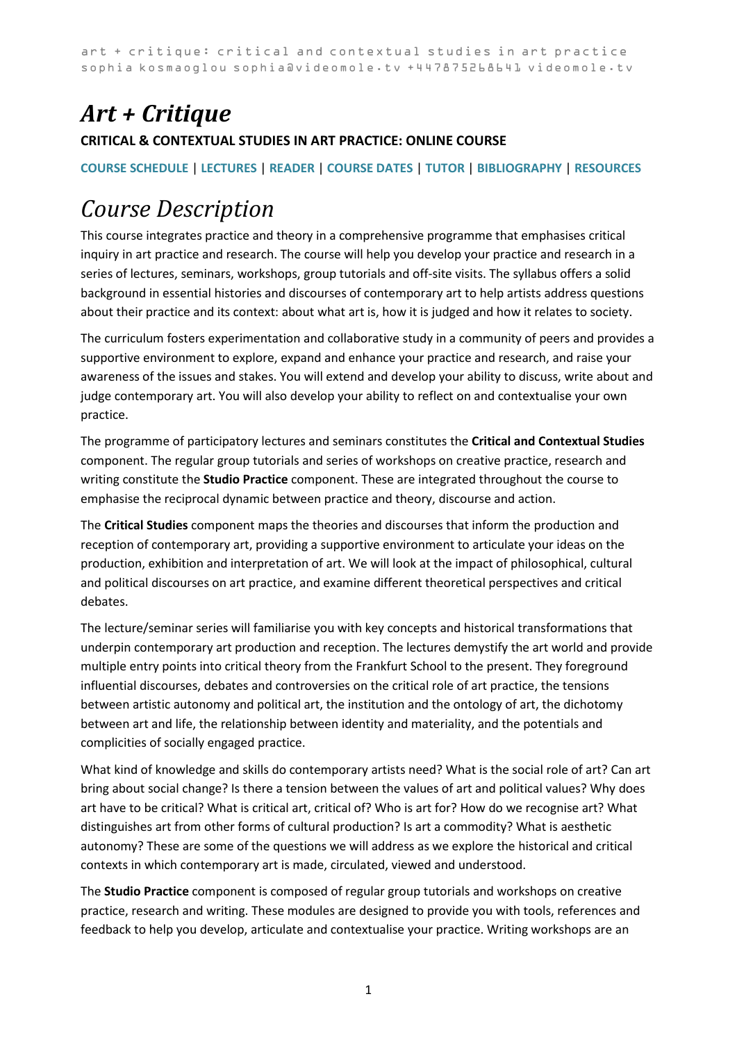# *Art + Critique*

### **CRITICAL & CONTEXTUAL STUDIES IN ART PRACTICE: ONLINE COURSE**

### **[COURSE SCHEDULE](#page-3-0)** | **[LECTURES](#page-3-1)** | **[READER](#page-6-0)** | **[COURSE DATES](#page-2-0)** | **[TUTOR](#page-7-0)** | **[BIBLIOGRAPHY](https://videomole.tv/critical-studies-bibliography/)** | **[RESOURCES](https://videomole.tv/resources/)**

# *Course Description*

This course integrates practice and theory in a comprehensive programme that emphasises critical inquiry in art practice and research. The course will help you develop your practice and research in a series of lectures, seminars, workshops, group tutorials and off-site visits. The syllabus offers a solid background in essential histories and discourses of contemporary art to help artists address questions about their practice and its context: about what art is, how it is judged and how it relates to society.

The curriculum fosters experimentation and collaborative study in a community of peers and provides a supportive environment to explore, expand and enhance your practice and research, and raise your awareness of the issues and stakes. You will extend and develop your ability to discuss, write about and judge contemporary art. You will also develop your ability to reflect on and contextualise your own practice.

The programme of participatory lectures and seminars constitutes the **Critical and Contextual Studies** component. The regular group tutorials and series of workshops on creative practice, research and writing constitute the **Studio Practice** component. These are integrated throughout the course to emphasise the reciprocal dynamic between practice and theory, discourse and action.

The **Critical Studies** component maps the theories and discourses that inform the production and reception of contemporary art, providing a supportive environment to articulate your ideas on the production, exhibition and interpretation of art. We will look at the impact of philosophical, cultural and political discourses on art practice, and examine different theoretical perspectives and critical debates.

The lecture/seminar series will familiarise you with key concepts and historical transformations that underpin contemporary art production and reception. The lectures demystify the art world and provide multiple entry points into critical theory from the Frankfurt School to the present. They foreground influential discourses, debates and controversies on the critical role of art practice, the tensions between artistic autonomy and political art, the institution and the ontology of art, the dichotomy between art and life, the relationship between identity and materiality, and the potentials and complicities of socially engaged practice.

What kind of knowledge and skills do contemporary artists need? What is the social role of art? Can art bring about social change? Is there a tension between the values of art and political values? Why does art have to be critical? What is critical art, critical of? Who is art for? How do we recognise art? What distinguishes art from other forms of cultural production? Is art a commodity? What is aesthetic autonomy? These are some of the questions we will address as we explore the historical and critical contexts in which contemporary art is made, circulated, viewed and understood.

The **Studio Practice** component is composed of regular group tutorials and workshops on creative practice, research and writing. These modules are designed to provide you with tools, references and feedback to help you develop, articulate and contextualise your practice. Writing workshops are an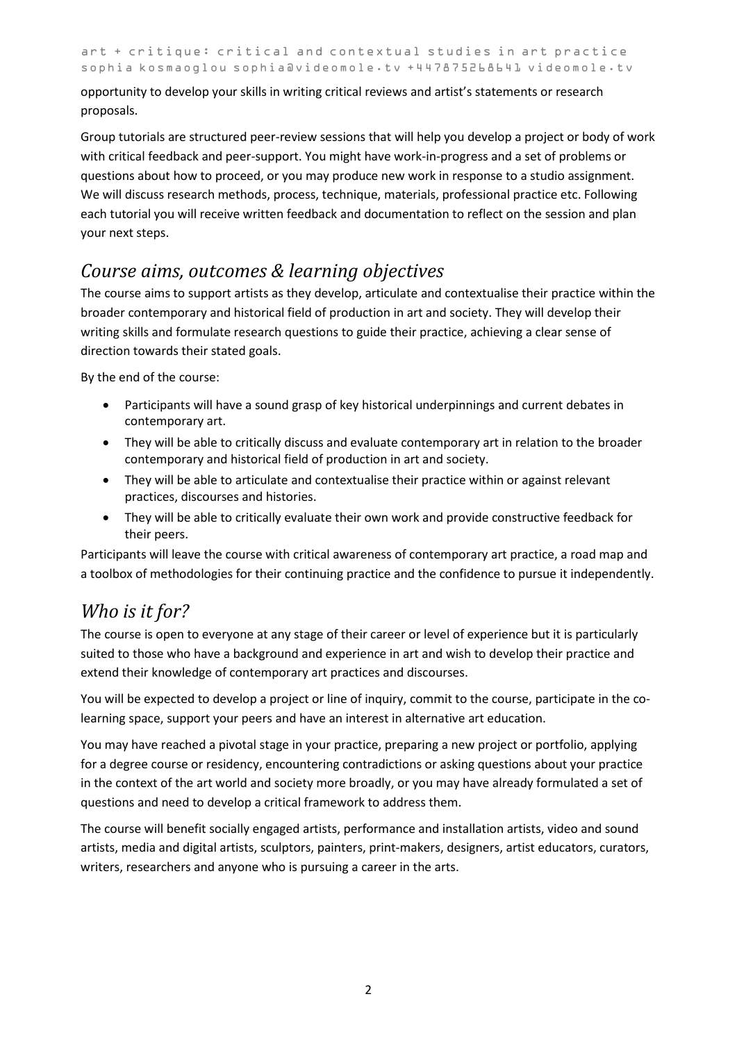opportunity to develop your skills in writing critical reviews and artist's statements or research proposals.

Group tutorials are structured peer-review sessions that will help you develop a project or body of work with critical feedback and peer-support. You might have work-in-progress and a set of problems or questions about how to proceed, or you may produce new work in response to a studio assignment. We will discuss research methods, process, technique, materials, professional practice etc. Following each tutorial you will receive written feedback and documentation to reflect on the session and plan your next steps.

### *Course aims, outcomes & learning objectives*

The course aims to support artists as they develop, articulate and contextualise their practice within the broader contemporary and historical field of production in art and society. They will develop their writing skills and formulate research questions to guide their practice, achieving a clear sense of direction towards their stated goals.

By the end of the course:

- Participants will have a sound grasp of key historical underpinnings and current debates in contemporary art.
- They will be able to critically discuss and evaluate contemporary art in relation to the broader contemporary and historical field of production in art and society.
- They will be able to articulate and contextualise their practice within or against relevant practices, discourses and histories.
- They will be able to critically evaluate their own work and provide constructive feedback for their peers.

Participants will leave the course with critical awareness of contemporary art practice, a road map and a toolbox of methodologies for their continuing practice and the confidence to pursue it independently.

# *Who is it for?*

The course is open to everyone at any stage of their career or level of experience but it is particularly suited to those who have a background and experience in art and wish to develop their practice and extend their knowledge of contemporary art practices and discourses.

You will be expected to develop a project or line of inquiry, commit to the course, participate in the colearning space, support your peers and have an interest in alternative art education.

You may have reached a pivotal stage in your practice, preparing a new project or portfolio, applying for a degree course or residency, encountering contradictions or asking questions about your practice in the context of the art world and society more broadly, or you may have already formulated a set of questions and need to develop a critical framework to address them.

The course will benefit socially engaged artists, performance and installation artists, video and sound artists, media and digital artists, sculptors, painters, print-makers, designers, artist educators, curators, writers, researchers and anyone who is pursuing a career in the arts.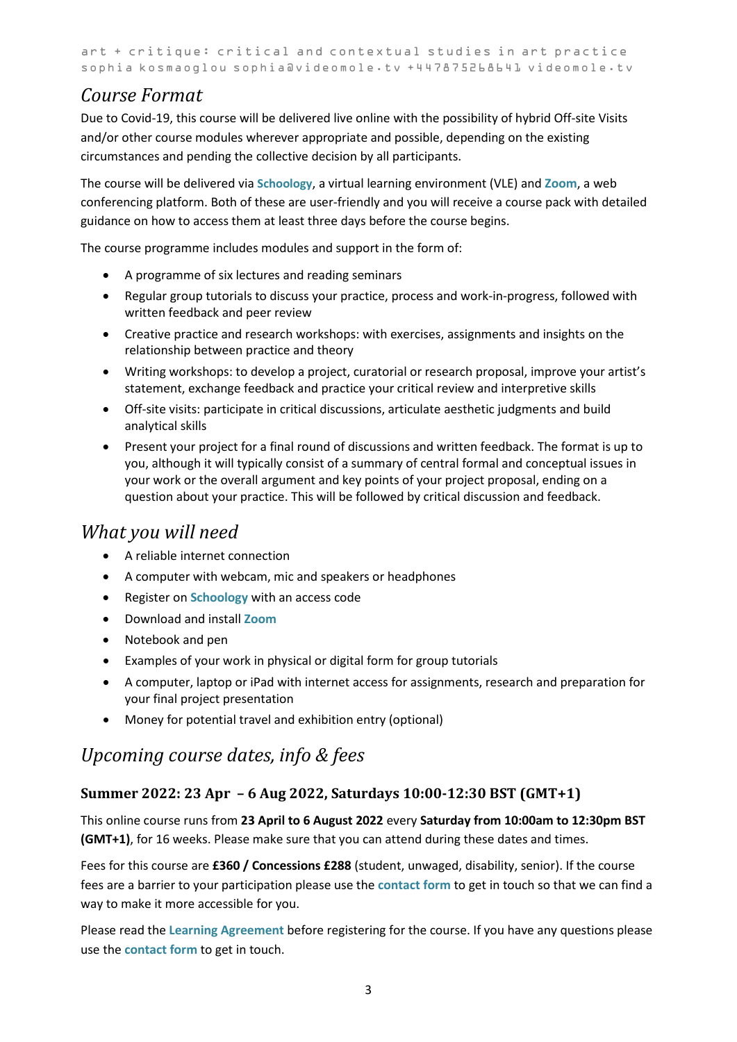### *Course Format*

Due to Covid-19, this course will be delivered live online with the possibility of hybrid Off-site Visits and/or other course modules wherever appropriate and possible, depending on the existing circumstances and pending the collective decision by all participants.

The course will be delivered via **[Schoology](https://www.schoology.com/)**, a virtual learning environment (VLE) and **[Zoom](https://zoom.us/)**, a web conferencing platform. Both of these are user-friendly and you will receive a course pack with detailed guidance on how to access them at least three days before the course begins.

The course programme includes modules and support in the form of:

- A programme of six lectures and reading seminars
- Regular group tutorials to discuss your practice, process and work-in-progress, followed with written feedback and peer review
- Creative practice and research workshops: with exercises, assignments and insights on the relationship between practice and theory
- Writing workshops: to develop a project, curatorial or research proposal, improve your artist's statement, exchange feedback and practice your critical review and interpretive skills
- Off-site visits: participate in critical discussions, articulate aesthetic judgments and build analytical skills
- Present your project for a final round of discussions and written feedback. The format is up to you, although it will typically consist of a summary of central formal and conceptual issues in your work or the overall argument and key points of your project proposal, ending on a question about your practice. This will be followed by critical discussion and feedback.

### *What you will need*

- A reliable internet connection
- A computer with webcam, mic and speakers or headphones
- Register on **[Schoology](https://www.schoology.com/)** with an access code
- Download and install **[Zoom](https://zoom.us/)**
- Notebook and pen
- Examples of your work in physical or digital form for group tutorials
- A computer, laptop or iPad with internet access for assignments, research and preparation for your final project presentation
- Money for potential travel and exhibition entry (optional)

### <span id="page-2-0"></span>*Upcoming course dates, info & fees*

### **Summer 2022: 23 Apr – 6 Aug 2022, Saturdays 10:00-12:30 BST (GMT+1)**

This online course runs from **23 April to 6 August 2022** every **Saturday from 10:00am to 12:30pm BST (GMT+1)**, for 16 weeks. Please make sure that you can attend during these dates and times.

Fees for this course are **£360 / Concessions £288** (student, unwaged, disability, senior). If the course fees are a barrier to your participation please use the **[contact form](https://videomole.tv/contact-form/)** to get in touch so that we can find a way to make it more accessible for you.

Please read the **[Learning Agreement](https://videomole.tv/wp-content/uploads/2022/01/ArtnCritique-Learning-Agreement-Summer-2022.pdf)** before registering for the course. If you have any questions please use the **[contact form](https://videomole.tv/contact-form/)** to get in touch.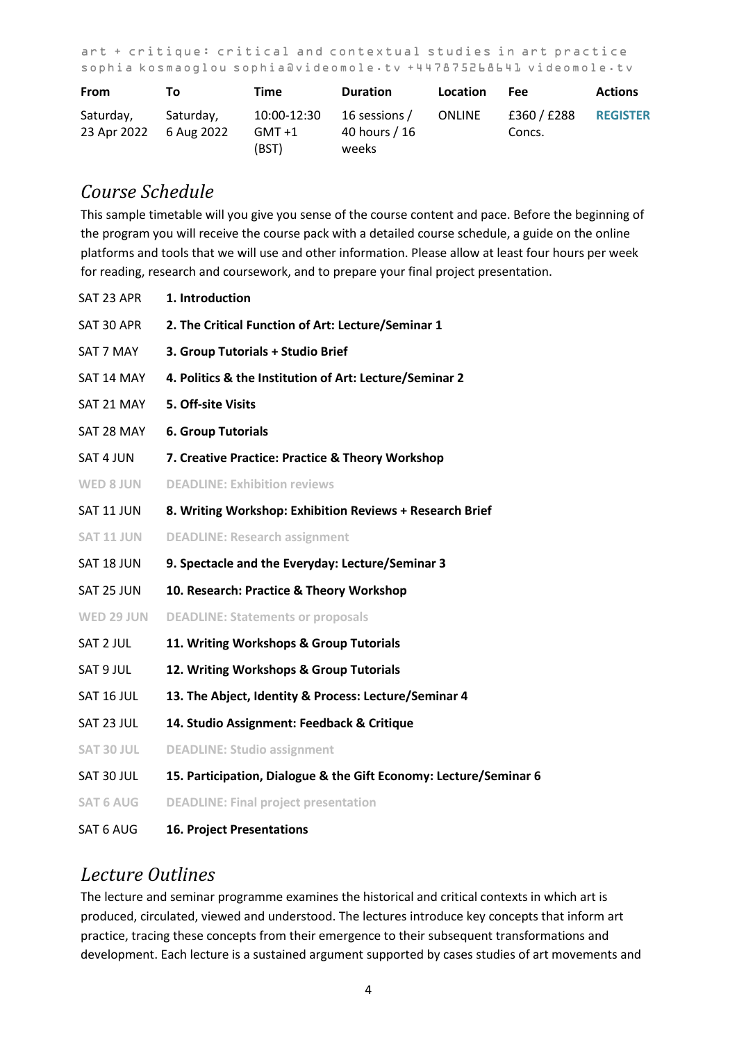| <b>From</b>              | Τo                      | Time                           | <b>Duration</b>                         | Location      | Fee                 | <b>Actions</b>  |
|--------------------------|-------------------------|--------------------------------|-----------------------------------------|---------------|---------------------|-----------------|
| Saturday,<br>23 Apr 2022 | Saturday,<br>6 Aug 2022 | 10:00-12:30<br>GMT +1<br>(BST) | 16 sessions /<br>40 hours / 16<br>weeks | <b>ONLINE</b> | £360/£288<br>Concs. | <b>REGISTER</b> |

### <span id="page-3-0"></span>*Course Schedule*

This sample timetable will you give you sense of the course content and pace. Before the beginning of the program you will receive the course pack with a detailed course schedule, a guide on the online platforms and tools that we will use and other information. Please allow at least four hours per week for reading, research and coursework, and to prepare your final project presentation.

| SAT 23 APR        | 1. Introduction                                                   |
|-------------------|-------------------------------------------------------------------|
| SAT 30 APR        | 2. The Critical Function of Art: Lecture/Seminar 1                |
| SAT 7 MAY         | 3. Group Tutorials + Studio Brief                                 |
| SAT 14 MAY        | 4. Politics & the Institution of Art: Lecture/Seminar 2           |
| SAT 21 MAY        | 5. Off-site Visits                                                |
| SAT 28 MAY        | <b>6. Group Tutorials</b>                                         |
| SAT 4 JUN         | 7. Creative Practice: Practice & Theory Workshop                  |
| <b>WED 8 JUN</b>  | <b>DEADLINE: Exhibition reviews</b>                               |
| SAT 11 JUN        | 8. Writing Workshop: Exhibition Reviews + Research Brief          |
| <b>SAT 11 JUN</b> | <b>DEADLINE: Research assignment</b>                              |
| SAT 18 JUN        | 9. Spectacle and the Everyday: Lecture/Seminar 3                  |
| SAT 25 JUN        | 10. Research: Practice & Theory Workshop                          |
| WED 29 JUN        | <b>DEADLINE: Statements or proposals</b>                          |
| SAT 2 JUL         | 11. Writing Workshops & Group Tutorials                           |
| SAT 9 JUL         | 12. Writing Workshops & Group Tutorials                           |
| SAT 16 JUL        | 13. The Abject, Identity & Process: Lecture/Seminar 4             |
| SAT 23 JUL        | 14. Studio Assignment: Feedback & Critique                        |
| SAT 30 JUL        | <b>DEADLINE: Studio assignment</b>                                |
| SAT 30 JUL        | 15. Participation, Dialogue & the Gift Economy: Lecture/Seminar 6 |
| <b>SAT 6 AUG</b>  | <b>DEADLINE: Final project presentation</b>                       |
| SAT 6 AUG         | <b>16. Project Presentations</b>                                  |

### <span id="page-3-1"></span>*Lecture Outlines*

The lecture and seminar programme examines the historical and critical contexts in which art is produced, circulated, viewed and understood. The lectures introduce key concepts that inform art practice, tracing these concepts from their emergence to their subsequent transformations and development. Each lecture is a sustained argument supported by cases studies of art movements and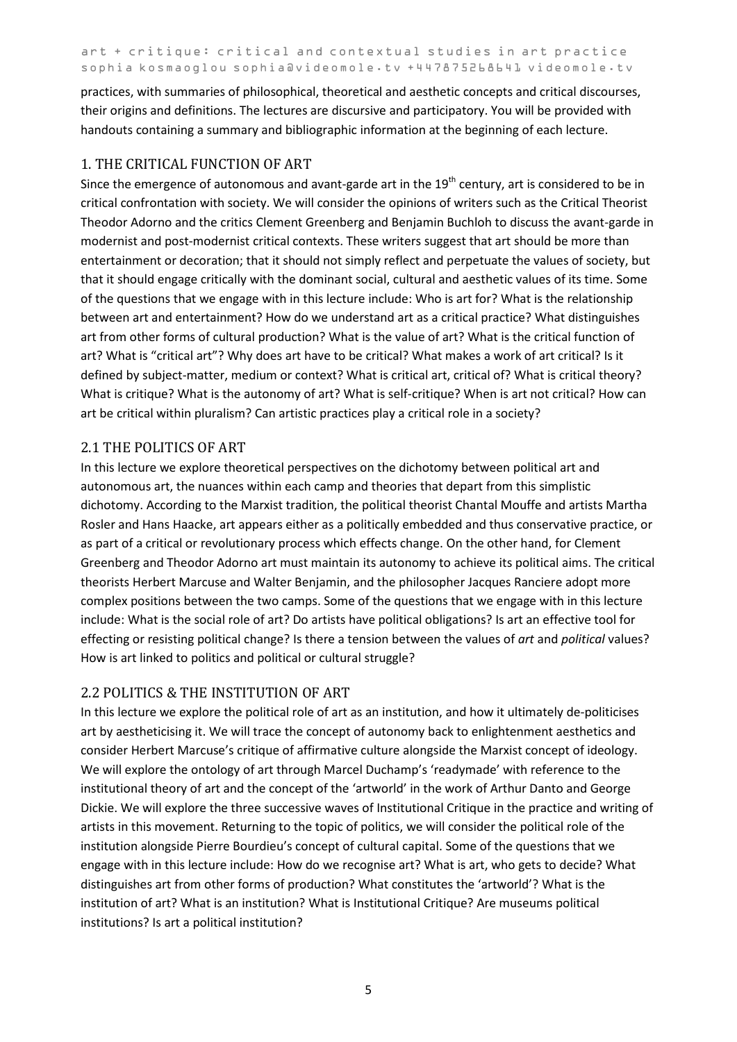practices, with summaries of philosophical, theoretical and aesthetic concepts and critical discourses, their origins and definitions. The lectures are discursive and participatory. You will be provided with handouts containing a summary and bibliographic information at the beginning of each lecture.

### 1. THE CRITICAL FUNCTION OF ART

Since the emergence of autonomous and avant-garde art in the  $19<sup>th</sup>$  century, art is considered to be in critical confrontation with society. We will consider the opinions of writers such as the Critical Theorist Theodor Adorno and the critics Clement Greenberg and Benjamin Buchloh to discuss the avant-garde in modernist and post-modernist critical contexts. These writers suggest that art should be more than entertainment or decoration; that it should not simply reflect and perpetuate the values of society, but that it should engage critically with the dominant social, cultural and aesthetic values of its time. Some of the questions that we engage with in this lecture include: Who is art for? What is the relationship between art and entertainment? How do we understand art as a critical practice? What distinguishes art from other forms of cultural production? What is the value of art? What is the critical function of art? What is "critical art"? Why does art have to be critical? What makes a work of art critical? Is it defined by subject-matter, medium or context? What is critical art, critical of? What is critical theory? What is critique? What is the autonomy of art? What is self-critique? When is art not critical? How can art be critical within pluralism? Can artistic practices play a critical role in a society?

### 2.1 THE POLITICS OF ART

In this lecture we explore theoretical perspectives on the dichotomy between political art and autonomous art, the nuances within each camp and theories that depart from this simplistic dichotomy. According to the Marxist tradition, the political theorist Chantal Mouffe and artists Martha Rosler and Hans Haacke, art appears either as a politically embedded and thus conservative practice, or as part of a critical or revolutionary process which effects change. On the other hand, for Clement Greenberg and Theodor Adorno art must maintain its autonomy to achieve its political aims. The critical theorists Herbert Marcuse and Walter Benjamin, and the philosopher Jacques Ranciere adopt more complex positions between the two camps. Some of the questions that we engage with in this lecture include: What is the social role of art? Do artists have political obligations? Is art an effective tool for effecting or resisting political change? Is there a tension between the values of *art* and *political* values? How is art linked to politics and political or cultural struggle?

### 2.2 POLITICS & THE INSTITUTION OF ART

In this lecture we explore the political role of art as an institution, and how it ultimately de-politicises art by aestheticising it. We will trace the concept of autonomy back to enlightenment aesthetics and consider Herbert Marcuse's critique of affirmative culture alongside the Marxist concept of ideology. We will explore the ontology of art through Marcel Duchamp's 'readymade' with reference to the institutional theory of art and the concept of the 'artworld' in the work of Arthur Danto and George Dickie. We will explore the three successive waves of Institutional Critique in the practice and writing of artists in this movement. Returning to the topic of politics, we will consider the political role of the institution alongside Pierre Bourdieu's concept of cultural capital. Some of the questions that we engage with in this lecture include: How do we recognise art? What is art, who gets to decide? What distinguishes art from other forms of production? What constitutes the 'artworld'? What is the institution of art? What is an institution? What is Institutional Critique? Are museums political institutions? Is art a political institution?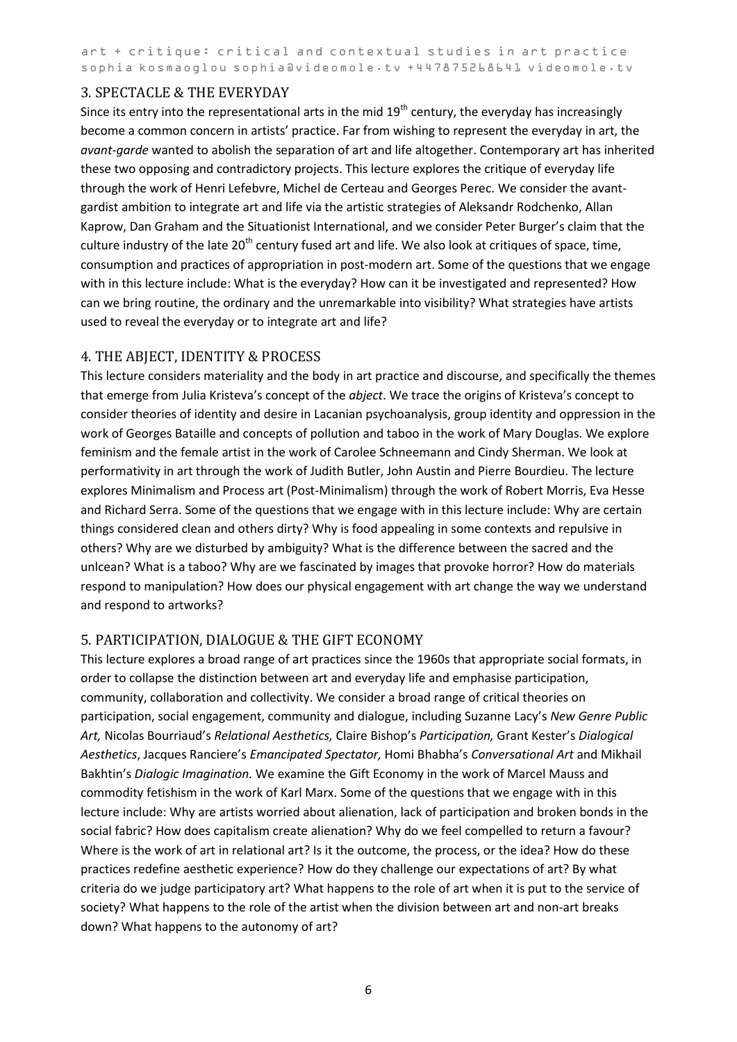#### 3. SPECTACLE & THE EVERYDAY

Since its entry into the representational arts in the mid 19<sup>th</sup> century, the everyday has increasingly become a common concern in artists' practice. Far from wishing to represent the everyday in art, the *avant-garde* wanted to abolish the separation of art and life altogether. Contemporary art has inherited these two opposing and contradictory projects. This lecture explores the critique of everyday life through the work of Henri Lefebvre, Michel de Certeau and Georges Perec. We consider the avantgardist ambition to integrate art and life via the artistic strategies of Aleksandr Rodchenko, Allan Kaprow, Dan Graham and the Situationist International, and we consider Peter Burger's claim that the culture industry of the late  $20<sup>th</sup>$  century fused art and life. We also look at critiques of space, time, consumption and practices of appropriation in post-modern art. Some of the questions that we engage with in this lecture include: What is the everyday? How can it be investigated and represented? How can we bring routine, the ordinary and the unremarkable into visibility? What strategies have artists used to reveal the everyday or to integrate art and life?

### 4. THE ABJECT, IDENTITY & PROCESS

This lecture considers materiality and the body in art practice and discourse, and specifically the themes that emerge from Julia Kristeva's concept of the *abject*. We trace the origins of Kristeva's concept to consider theories of identity and desire in Lacanian psychoanalysis, group identity and oppression in the work of Georges Bataille and concepts of pollution and taboo in the work of Mary Douglas. We explore feminism and the female artist in the work of Carolee Schneemann and Cindy Sherman. We look at performativity in art through the work of Judith Butler, John Austin and Pierre Bourdieu. The lecture explores Minimalism and Process art (Post-Minimalism) through the work of Robert Morris, Eva Hesse and Richard Serra. Some of the questions that we engage with in this lecture include: Why are certain things considered clean and others dirty? Why is food appealing in some contexts and repulsive in others? Why are we disturbed by ambiguity? What is the difference between the sacred and the unlcean? What is a taboo? Why are we fascinated by images that provoke horror? How do materials respond to manipulation? How does our physical engagement with art change the way we understand and respond to artworks?

### 5. PARTICIPATION, DIALOGUE & THE GIFT ECONOMY

This lecture explores a broad range of art practices since the 1960s that appropriate social formats, in order to collapse the distinction between art and everyday life and emphasise participation, community, collaboration and collectivity. We consider a broad range of critical theories on participation, social engagement, community and dialogue, including Suzanne Lacy's *New Genre Public Art,* Nicolas Bourriaud's *Relational Aesthetics,* Claire Bishop's *Participation,* Grant Kester's *Dialogical Aesthetics*, Jacques Ranciere's *Emancipated Spectator,* Homi Bhabha's *Conversational Art* and Mikhail Bakhtin's *Dialogic Imagination.* We examine the Gift Economy in the work of Marcel Mauss and commodity fetishism in the work of Karl Marx. Some of the questions that we engage with in this lecture include: Why are artists worried about alienation, lack of participation and broken bonds in the social fabric? How does capitalism create alienation? Why do we feel compelled to return a favour? Where is the work of art in relational art? Is it the outcome, the process, or the idea? How do these practices redefine aesthetic experience? How do they challenge our expectations of art? By what criteria do we judge participatory art? What happens to the role of art when it is put to the service of society? What happens to the role of the artist when the division between art and non-art breaks down? What happens to the autonomy of art?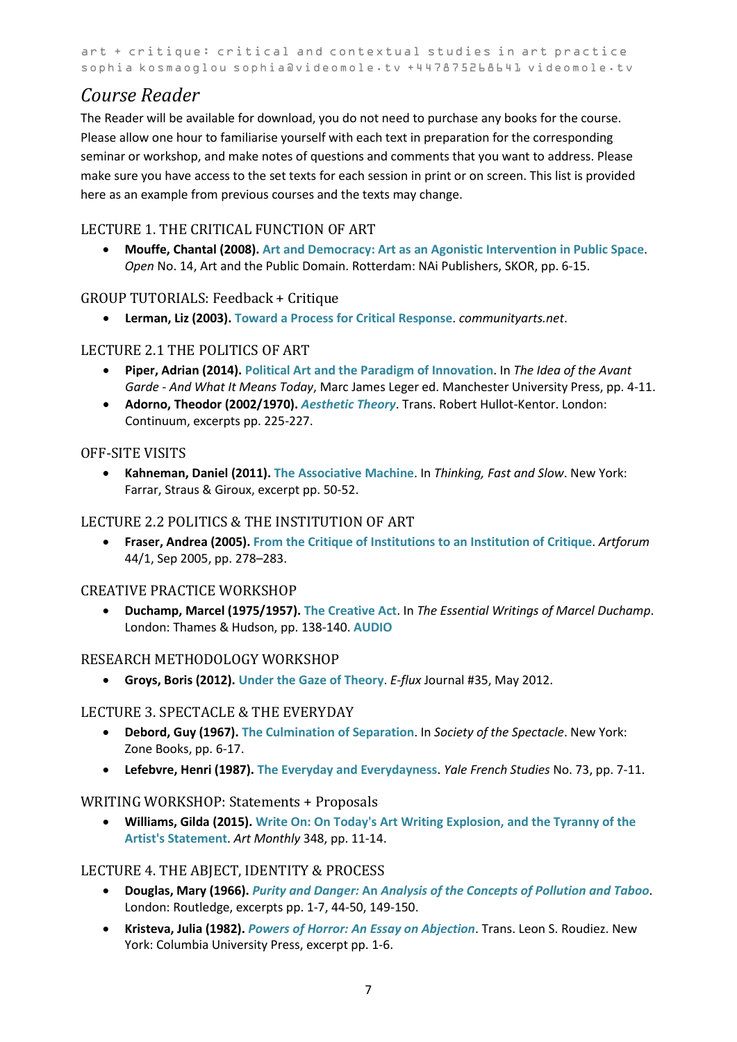# <span id="page-6-0"></span>*Course Reader*

The Reader will be available for download, you do not need to purchase any books for the course. Please allow one hour to familiarise yourself with each text in preparation for the corresponding seminar or workshop, and make notes of questions and comments that you want to address. Please make sure you have access to the set texts for each session in print or on screen. This list is provided here as an example from previous courses and the texts may change.

### LECTURE 1. THE CRITICAL FUNCTION OF ART

• **Mouffe, Chantal (2008). [Art and Democracy: Art as an Agonistic Intervention in Public Space](https://www.onlineopen.org/download.php?id=226)**. *Open* No. 14, Art and the Public Domain. Rotterdam: NAi Publishers, SKOR, pp. 6-15.

### GROUP TUTORIALS: Feedback + Critique

• **Lerman, Liz (2003). [Toward a Process for Critical Response](http://static.placestories.com/pool/doc/97/23/71/8nye0-7f4eb9bfcc25206d01ec9b7709.pdf)**. *communityarts.net*.

### LECTURE 2.1 THE POLITICS OF ART

- **Piper, Adrian (2014). [Political Art and the Paradigm of Innovation](https://videomole.tv/wp-content/uploads/2020/10/AP2014.pdf)**. In *The Idea of the Avant Garde - And What It Means Today*, Marc James Leger ed. Manchester University Press, pp. 4-11.
- **Adorno, Theodor (2002/1970).** *[Aesthetic Theory](http://www.sfu.ca/~andrewf/aesthetictheory)*. Trans. Robert Hullot-Kentor. London: Continuum, excerpts pp. 225-227.

### OFF-SITE VISITS

• **Kahneman, Daniel (2011). [The Associative Machine](https://videomole.tv/wp-content/uploads/2020/10/DK2011.pdf)**. In *Thinking, Fast and Slow*. New York: Farrar, Straus & Giroux, excerpt pp. 50-52.

### LECTURE 2.2 POLITICS & THE INSTITUTION OF ART

• **Fraser, Andrea (2005). [From the Critique of Institutions to an Institution of Critique](https://monoskop.org/images/b/b6/Fraser_Andrea_2005_From_the_Critique_of_Institutions_to_an_Institution_of_Critique.pdf)**. *Artforum* 44/1, Sep 2005, pp. 278–283.

### CREATIVE PRACTICE WORKSHOP

• **Duchamp, Marcel (1975/1957). [The Creative Act](http://courses.ischool.utexas.edu/Smith_Kim/2007/Fall/INF385H/Duchamp_CreativeAct.pdf)**. In *The Essential Writings of Marcel Duchamp*. London: Thames & Hudson, pp. 138-140. **[AUDIO](http://www.ubu.com/sound/duchamp.html)**

### RESEARCH METHODOLOGY WORKSHOP

• **Groys, Boris (2012). [Under the Gaze of Theory](http://worker01.e-flux.com/pdf/article_8953828.pdf)**. *E-flux* Journal #35, May 2012.

### LECTURE 3. SPECTACLE & THE EVERYDAY

- **Debord, Guy (1967). [The Culmination of Separation](http://www.aughty.org/pdf/culmination_sep.pdf)**. In *Society of the Spectacle*. New York: Zone Books, pp. 6-17.
- **Lefebvre, Henri (1987). [The Everyday and Everydayness](https://www.jstor.org/stable/2930193)**. *Yale French Studies* No. 73, pp. 7-11.

### WRITING WORKSHOP: Statements + Proposals

• **Williams, Gilda (2015). [Write On: On Today's Art Writing Explosion, and the Tyranny of the](https://secureservercdn.net/160.153.137.14/n2m.784.myftpupload.com/wp-content/uploads/2019/04/Write-On-Art-Monthly-March-2015.pdf)  [Artist's Statement](https://secureservercdn.net/160.153.137.14/n2m.784.myftpupload.com/wp-content/uploads/2019/04/Write-On-Art-Monthly-March-2015.pdf)**. *Art Monthly* 348, pp. 11-14.

### LECTURE 4. THE ABJECT, IDENTITY & PROCESS

- **Douglas, Mary (1966).** *Purity and Danger:* **An** *[Analysis of the Concepts of Pollution and Taboo](https://monoskop.org/images/7/7d/Douglas_Mary_Purity_and_Danger_An_Analysis_of_Concepts_of_Pollution_and_Taboo_2001.pdf)*. London: Routledge, excerpts pp. 1-7, 44-50, 149-150.
- **Kristeva, Julia (1982).** *[Powers of Horror: An Essay on Abjection](https://pdfs.semanticscholar.org/ff75/f264c23b25616f0596ba5b86bf67afac5f1d.pdf)*. Trans. Leon S. Roudiez. New York: Columbia University Press, excerpt pp. 1-6.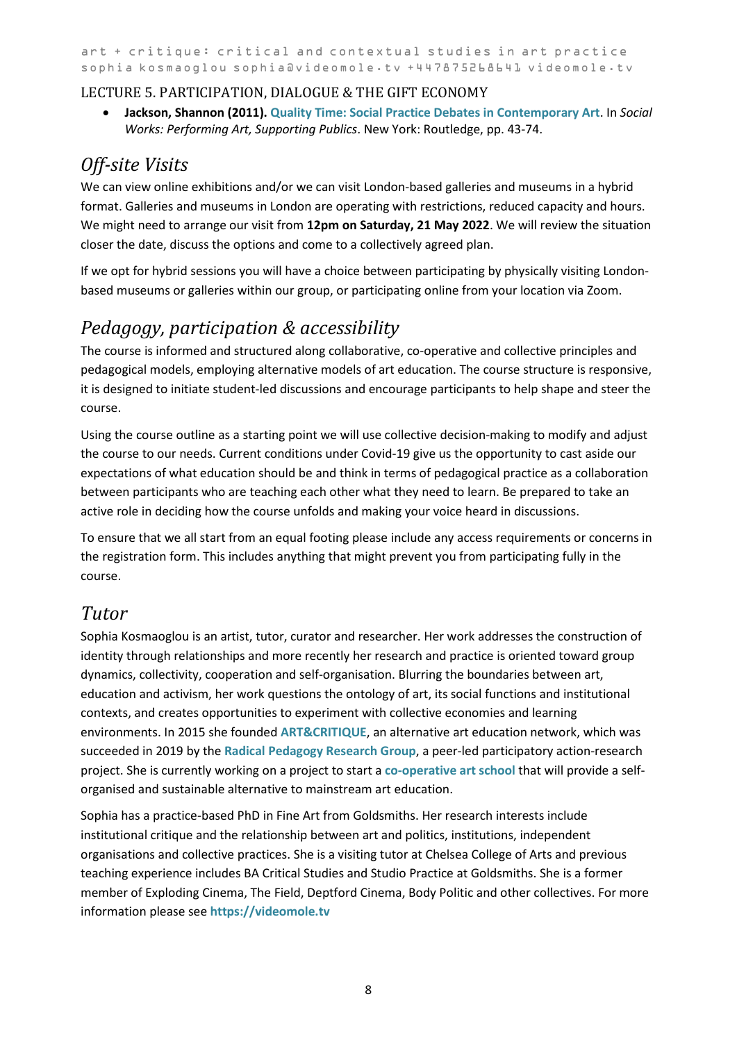### LECTURE 5. PARTICIPATION, DIALOGUE & THE GIFT ECONOMY

• **Jackson, Shannon (2011)[. Quality Time: Social Practice Debates in Contemporary Art](https://corner-college.com/udb/cprojnCwiyChapter_2_-_Quality_Time.pdf)**. In *Social Works: Performing Art, Supporting Publics*. New York: Routledge, pp. 43-74.

## *Off-site Visits*

We can view online exhibitions and/or we can visit London-based galleries and museums in a hybrid format. Galleries and museums in London are operating with restrictions, reduced capacity and hours. We might need to arrange our visit from **12pm on Saturday, 21 May 2022**. We will review the situation closer the date, discuss the options and come to a collectively agreed plan.

If we opt for hybrid sessions you will have a choice between participating by physically visiting Londonbased museums or galleries within our group, or participating online from your location via Zoom.

# *Pedagogy, participation & accessibility*

The course is informed and structured along collaborative, co-operative and collective principles and pedagogical models, employing alternative models of art education. The course structure is responsive, it is designed to initiate student-led discussions and encourage participants to help shape and steer the course.

Using the course outline as a starting point we will use collective decision-making to modify and adjust the course to our needs. Current conditions under Covid-19 give us the opportunity to cast aside our expectations of what education should be and think in terms of pedagogical practice as a collaboration between participants who are teaching each other what they need to learn. Be prepared to take an active role in deciding how the course unfolds and making your voice heard in discussions.

To ensure that we all start from an equal footing please include any access requirements or concerns in the registration form. This includes anything that might prevent you from participating fully in the course.

### <span id="page-7-0"></span>*Tutor*

Sophia Kosmaoglou is an artist, tutor, curator and researcher. Her work addresses the construction of identity through relationships and more recently her research and practice is oriented toward group dynamics, collectivity, cooperation and self-organisation. Blurring the boundaries between art, education and activism, her work questions the ontology of art, its social functions and institutional contexts, and creates opportunities to experiment with collective economies and learning environments. In 2015 she founded **[ART&CRITIQUE](https://videomole.tv/artandcritique/)**, an alternative art education network, which was succeeded in 2019 by the **[Radical Pedagogy Research Group](https://videomole.tv/radical-pedagogy/)**, a peer-led participatory action-research project. She is currently working on a project to start a **[co-operative art school](https://videomole.tv/coop-art-school/)** that will provide a selforganised and sustainable alternative to mainstream art education.

Sophia has a practice-based PhD in Fine Art from Goldsmiths. Her research interests include institutional critique and the relationship between art and politics, institutions, independent organisations and collective practices. She is a visiting tutor at Chelsea College of Arts and previous teaching experience includes BA Critical Studies and Studio Practice at Goldsmiths. She is a former member of Exploding Cinema, The Field, Deptford Cinema, Body Politic and other collectives. For more information please see **[https://videomole.tv](https://videomole.tv/)**